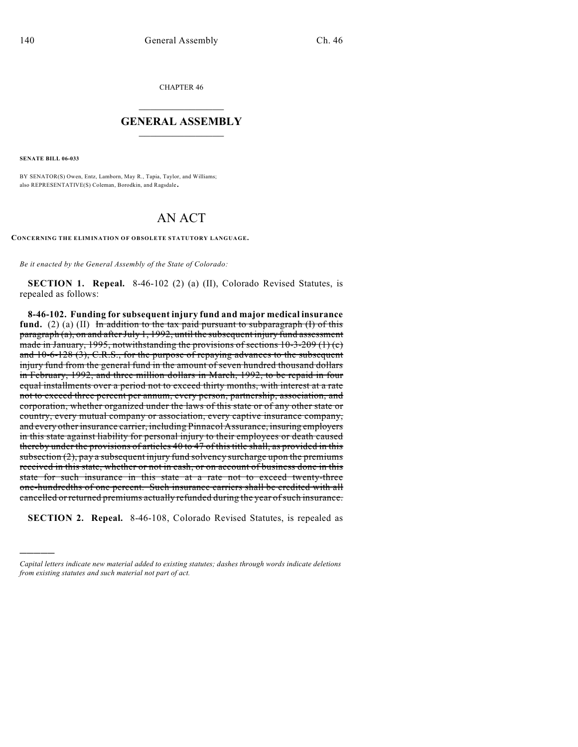CHAPTER 46

## $\mathcal{L}_\text{max}$  . The set of the set of the set of the set of the set of the set of the set of the set of the set of the set of the set of the set of the set of the set of the set of the set of the set of the set of the set **GENERAL ASSEMBLY**  $\frac{1}{\sqrt{2}}$

**SENATE BILL 06-033**

)))))

BY SENATOR(S) Owen, Entz, Lamborn, May R., Tapia, Taylor, and Williams; also REPRESENTATIVE(S) Coleman, Borodkin, and Ragsdale.

## AN ACT

**CONCERNING THE ELIMINATION OF OBSOLETE STATUTORY LANGUAGE.**

*Be it enacted by the General Assembly of the State of Colorado:*

**SECTION 1. Repeal.** 8-46-102 (2) (a) (II), Colorado Revised Statutes, is repealed as follows:

**8-46-102. Funding for subsequent injury fund and major medical insurance** fund. (2) (a) (II) In addition to the tax paid pursuant to subparagraph (I) of this paragraph (a), on and after July 1, 1992, until the subsequent injury fund assessment made in January, 1995, notwithstanding the provisions of sections  $10-3-209(1)(c)$ and 10-6-128 (3), C.R.S., for the purpose of repaying advances to the subsequent injury fund from the general fund in the amount of seven hundred thousand dollars in February, 1992, and three million dollars in March, 1992, to be repaid in four equal installments over a period not to exceed thirty months, with interest at a rate not to exceed three percent per annum, every person, partnership, association, and corporation, whether organized under the laws of this state or of any other state or country, every mutual company or association, every captive insurance company, and every other insurance carrier, including Pinnacol Assurance, insuring employers in this state against liability for personal injury to their employees or death caused thereby under the provisions of articles 40 to 47 of this title shall, as provided in this subsection  $(2)$ , pay a subsequent injury fund solvency surcharge upon the premiums received in this state, whether or not in cash, or on account of business done in this state for such insurance in this state at a rate not to exceed twenty-three one-hundredths of one percent. Such insurance carriers shall be credited with all cancelled or returned premiums actually refunded during the year of such insurance.

**SECTION 2. Repeal.** 8-46-108, Colorado Revised Statutes, is repealed as

*Capital letters indicate new material added to existing statutes; dashes through words indicate deletions from existing statutes and such material not part of act.*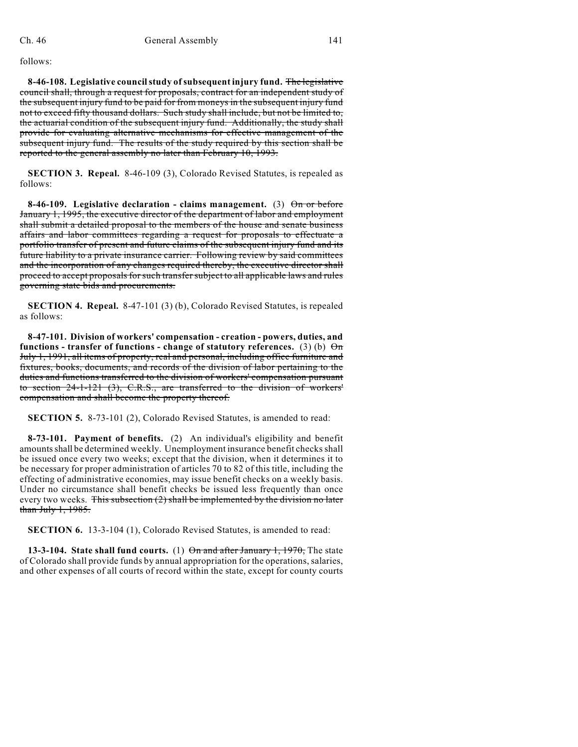follows:

**8-46-108. Legislative council study of subsequent injury fund.** The legislative council shall, through a request for proposals, contract for an independent study of the subsequent injury fund to be paid for from moneys in the subsequent injury fund not to exceed fifty thousand dollars. Such study shall include, but not be limited to, the actuarial condition of the subsequent injury fund. Additionally, the study shall provide for evaluating alternative mechanisms for effective management of the subsequent injury fund. The results of the study required by this section shall be reported to the general assembly no later than February 10, 1993.

**SECTION 3. Repeal.** 8-46-109 (3), Colorado Revised Statutes, is repealed as follows:

**8-46-109.** Legislative declaration - claims management. (3)  $\Theta$  or before January 1, 1995, the executive director of the department of labor and employment shall submit a detailed proposal to the members of the house and senate business affairs and labor committees regarding a request for proposals to effectuate a portfolio transfer of present and future claims of the subsequent injury fund and its future liability to a private insurance carrier. Following review by said committees and the incorporation of any changes required thereby, the executive director shall proceed to accept proposals for such transfer subject to all applicable laws and rules governing state bids and procurements.

**SECTION 4. Repeal.** 8-47-101 (3) (b), Colorado Revised Statutes, is repealed as follows:

**8-47-101. Division of workers' compensation - creation - powers, duties, and functions - transfer of functions - change of statutory references.** (3) (b)  $\Theta$ m July 1, 1991, all items of property, real and personal, including office furniture and fixtures, books, documents, and records of the division of labor pertaining to the duties and functions transferred to the division of workers' compensation pursuant to section 24-1-121 (3), C.R.S., are transferred to the division of workers' compensation and shall become the property thereof.

**SECTION 5.** 8-73-101 (2), Colorado Revised Statutes, is amended to read:

**8-73-101. Payment of benefits.** (2) An individual's eligibility and benefit amounts shall be determined weekly. Unemployment insurance benefit checks shall be issued once every two weeks; except that the division, when it determines it to be necessary for proper administration of articles 70 to 82 of this title, including the effecting of administrative economies, may issue benefit checks on a weekly basis. Under no circumstance shall benefit checks be issued less frequently than once every two weeks. This subsection  $(2)$  shall be implemented by the division no later than July 1, 1985.

**SECTION 6.** 13-3-104 (1), Colorado Revised Statutes, is amended to read:

**13-3-104. State shall fund courts.** (1)  $\Theta$ <del>n and after January 1, 1970,</del> The state of Colorado shall provide funds by annual appropriation for the operations, salaries, and other expenses of all courts of record within the state, except for county courts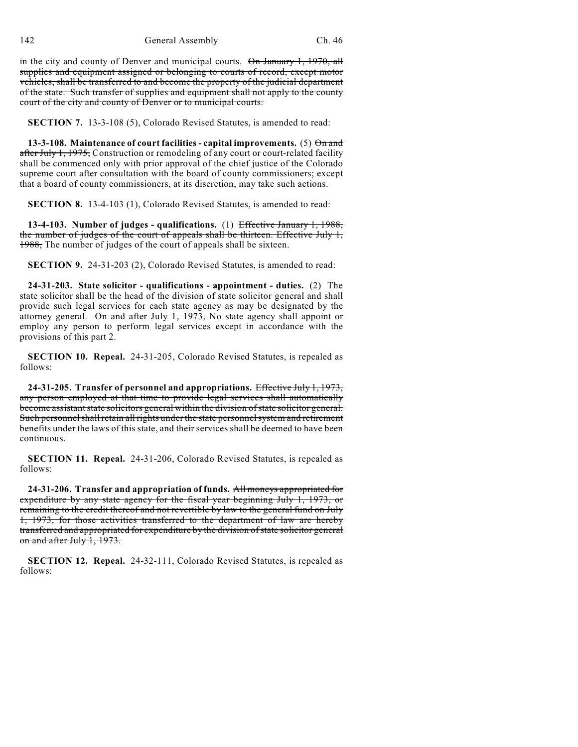in the city and county of Denver and municipal courts. On January 1, 1970, all supplies and equipment assigned or belonging to courts of record, except motor vehicles, shall be transferred to and become the property of the judicial department of the state. Such transfer of supplies and equipment shall not apply to the county court of the city and county of Denver or to municipal courts.

**SECTION 7.** 13-3-108 (5), Colorado Revised Statutes, is amended to read:

**13-3-108. Maintenance of court facilities - capital improvements.** (5) On and after July 1, 1975, Construction or remodeling of any court or court-related facility shall be commenced only with prior approval of the chief justice of the Colorado supreme court after consultation with the board of county commissioners; except that a board of county commissioners, at its discretion, may take such actions.

**SECTION 8.** 13-4-103 (1), Colorado Revised Statutes, is amended to read:

**13-4-103. Number of judges - qualifications.** (1) Effective January 1, 1988, the number of judges of the court of appeals shall be thirteen. Effective July 1, 1988, The number of judges of the court of appeals shall be sixteen.

**SECTION 9.** 24-31-203 (2), Colorado Revised Statutes, is amended to read:

**24-31-203. State solicitor - qualifications - appointment - duties.** (2) The state solicitor shall be the head of the division of state solicitor general and shall provide such legal services for each state agency as may be designated by the attorney general. On and after July 1,  $1973$ , No state agency shall appoint or employ any person to perform legal services except in accordance with the provisions of this part 2.

**SECTION 10. Repeal.** 24-31-205, Colorado Revised Statutes, is repealed as follows:

**24-31-205. Transfer of personnel and appropriations.** Effective July 1, 1973, any person employed at that time to provide legal services shall automatically become assistant state solicitors general within the division of state solicitor general. Such personnel shall retain all rights under the state personnel system and retirement benefits under the laws of this state, and their services shall be deemed to have been continuous.

**SECTION 11. Repeal.** 24-31-206, Colorado Revised Statutes, is repealed as follows:

**24-31-206. Transfer and appropriation of funds.** All moneys appropriated for expenditure by any state agency for the fiscal year beginning July 1, 1973, or remaining to the credit thereof and not revertible by law to the general fund on July 1, 1973, for those activities transferred to the department of law are hereby transferred and appropriated for expenditure by the division of state solicitor general on and after July 1, 1973.

**SECTION 12. Repeal.** 24-32-111, Colorado Revised Statutes, is repealed as follows: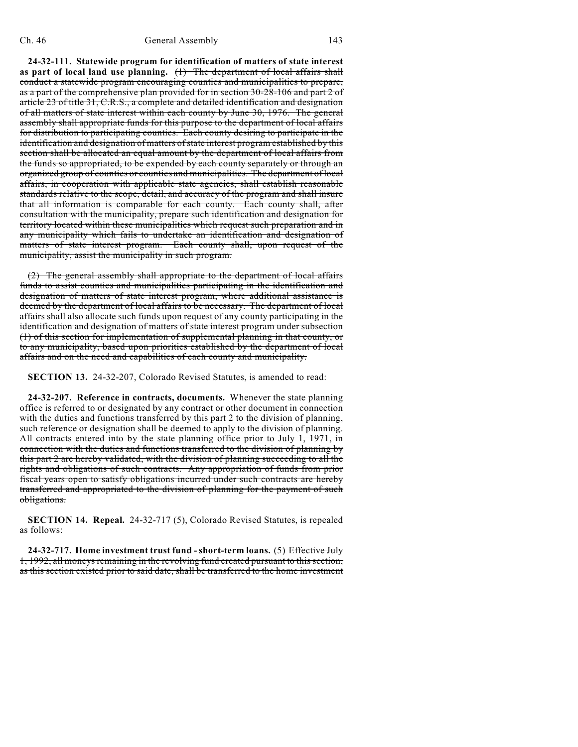**24-32-111. Statewide program for identification of matters of state interest as part of local land use planning.** (1) The department of local affairs shall conduct a statewide program encouraging counties and municipalities to prepare, as a part of the comprehensive plan provided for in section 30-28-106 and part 2 of article 23 of title 31, C.R.S., a complete and detailed identification and designation of all matters of state interest within each county by June 30, 1976. The general assembly shall appropriate funds for this purpose to the department of local affairs for distribution to participating counties. Each county desiring to participate in the identification and designation of matters of state interest program established by this section shall be allocated an equal amount by the department of local affairs from the funds so appropriated, to be expended by each county separately or through an organized group of counties or counties and municipalities. The department of local affairs, in cooperation with applicable state agencies, shall establish reasonable standards relative to the scope, detail, and accuracy of the program and shall insure that all information is comparable for each county. Each county shall, after consultation with the municipality, prepare such identification and designation for territory located within these municipalities which request such preparation and in any municipality which fails to undertake an identification and designation of matters of state interest program. Each county shall, upon request of the municipality, assist the municipality in such program.

(2) The general assembly shall appropriate to the department of local affairs funds to assist counties and municipalities participating in the identification and designation of matters of state interest program, where additional assistance is deemed by the department of local affairs to be necessary. The department of local affairs shall also allocate such funds upon request of any county participating in the identification and designation of matters of state interest program under subsection (1) of this section for implementation of supplemental planning in that county, or to any municipality, based upon priorities established by the department of local affairs and on the need and capabilities of each county and municipality.

**SECTION 13.** 24-32-207, Colorado Revised Statutes, is amended to read:

**24-32-207. Reference in contracts, documents.** Whenever the state planning office is referred to or designated by any contract or other document in connection with the duties and functions transferred by this part 2 to the division of planning, such reference or designation shall be deemed to apply to the division of planning. All contracts entered into by the state planning office prior to July 1, 1971, in connection with the duties and functions transferred to the division of planning by this part 2 are hereby validated, with the division of planning succeeding to all the rights and obligations of such contracts. Any appropriation of funds from prior fiscal years open to satisfy obligations incurred under such contracts are hereby transferred and appropriated to the division of planning for the payment of such obligations.

**SECTION 14. Repeal.** 24-32-717 (5), Colorado Revised Statutes, is repealed as follows:

**24-32-717. Home investment trust fund - short-term loans.** (5) Effective July 1, 1992, all moneys remaining in the revolving fund created pursuant to this section, as this section existed prior to said date, shall be transferred to the home investment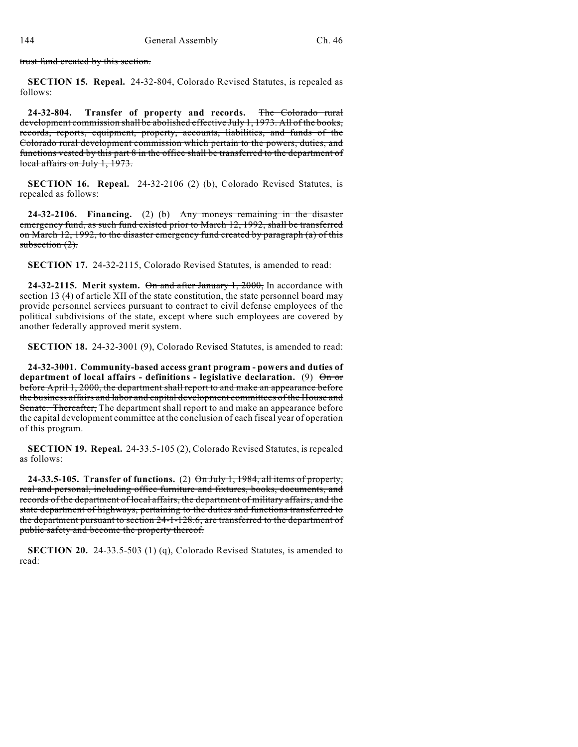trust fund created by this section.

**SECTION 15. Repeal.** 24-32-804, Colorado Revised Statutes, is repealed as follows:

**24-32-804. Transfer of property and records.** The Colorado rural development commission shall be abolished effective July 1, 1973. All of the books, records, reports, equipment, property, accounts, liabilities, and funds of the Colorado rural development commission which pertain to the powers, duties, and functions vested by this part 8 in the office shall be transferred to the department of local affairs on July 1, 1973.

**SECTION 16. Repeal.** 24-32-2106 (2) (b), Colorado Revised Statutes, is repealed as follows:

**24-32-2106. Financing.** (2) (b) Any moneys remaining in the disaster emergency fund, as such fund existed prior to March 12, 1992, shall be transferred on March 12, 1992, to the disaster emergency fund created by paragraph (a) of this subsection  $(2)$ .

**SECTION 17.** 24-32-2115, Colorado Revised Statutes, is amended to read:

**24-32-2115. Merit system.** On and after January 1, 2000, In accordance with section 13 (4) of article XII of the state constitution, the state personnel board may provide personnel services pursuant to contract to civil defense employees of the political subdivisions of the state, except where such employees are covered by another federally approved merit system.

**SECTION 18.** 24-32-3001 (9), Colorado Revised Statutes, is amended to read:

**24-32-3001. Community-based access grant program - powers and duties of department of local affairs - definitions - legislative declaration.** (9) On or before April 1, 2000, the department shall report to and make an appearance before the business affairs and labor and capital development committees of the House and Senate. Thereafter, The department shall report to and make an appearance before the capital development committee at the conclusion of each fiscal year of operation of this program.

**SECTION 19. Repeal.** 24-33.5-105 (2), Colorado Revised Statutes, is repealed as follows:

**24-33.5-105. Transfer of functions.** (2) On July 1, 1984, all items of property, real and personal, including office furniture and fixtures, books, documents, and records of the department of local affairs, the department of military affairs, and the state department of highways, pertaining to the duties and functions transferred to the department pursuant to section 24-1-128.6, are transferred to the department of public safety and become the property thereof.

**SECTION 20.** 24-33.5-503 (1) (q), Colorado Revised Statutes, is amended to read: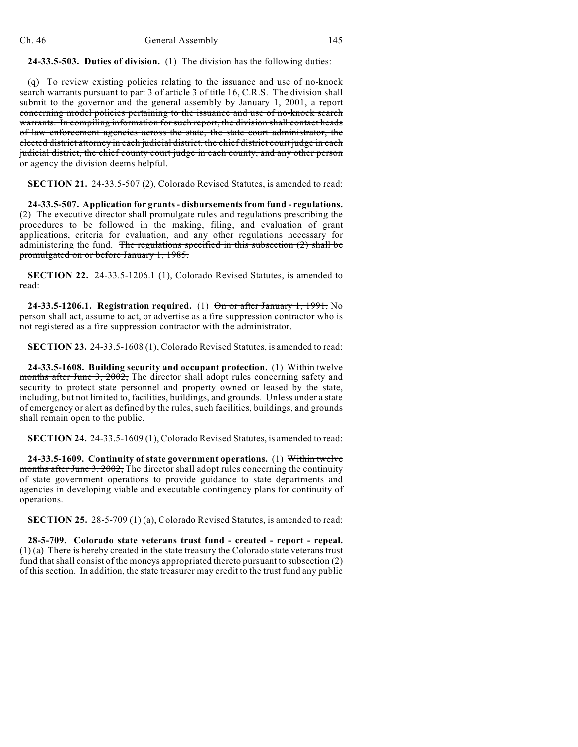**24-33.5-503. Duties of division.** (1) The division has the following duties:

(q) To review existing policies relating to the issuance and use of no-knock search warrants pursuant to part 3 of article 3 of title 16, C.R.S. The division shall submit to the governor and the general assembly by January 1, 2001, a report concerning model policies pertaining to the issuance and use of no-knock search warrants. In compiling information for such report, the division shall contact heads of law enforcement agencies across the state, the state court administrator, the elected district attorney in each judicial district, the chief district court judge in each judicial district, the chief county court judge in each county, and any other person or agency the division deems helpful.

**SECTION 21.** 24-33.5-507 (2), Colorado Revised Statutes, is amended to read:

**24-33.5-507. Application for grants - disbursementsfrom fund - regulations.** (2) The executive director shall promulgate rules and regulations prescribing the procedures to be followed in the making, filing, and evaluation of grant applications, criteria for evaluation, and any other regulations necessary for administering the fund. The regulations specified in this subsection  $(2)$  shall be promulgated on or before January 1, 1985.

**SECTION 22.** 24-33.5-1206.1 (1), Colorado Revised Statutes, is amended to read:

**24-33.5-1206.1. Registration required.** (1) On or after January 1, 1991, No person shall act, assume to act, or advertise as a fire suppression contractor who is not registered as a fire suppression contractor with the administrator.

**SECTION 23.** 24-33.5-1608 (1), Colorado Revised Statutes, is amended to read:

**24-33.5-1608. Building security and occupant protection.** (1) Within twelve months after June 3, 2002, The director shall adopt rules concerning safety and security to protect state personnel and property owned or leased by the state, including, but not limited to, facilities, buildings, and grounds. Unless under a state of emergency or alert as defined by the rules, such facilities, buildings, and grounds shall remain open to the public.

**SECTION 24.** 24-33.5-1609 (1), Colorado Revised Statutes, is amended to read:

**24-33.5-1609. Continuity of state government operations.** (1) Within twelve months after June 3, 2002, The director shall adopt rules concerning the continuity of state government operations to provide guidance to state departments and agencies in developing viable and executable contingency plans for continuity of operations.

**SECTION 25.** 28-5-709 (1) (a), Colorado Revised Statutes, is amended to read:

**28-5-709. Colorado state veterans trust fund - created - report - repeal.** (1) (a) There is hereby created in the state treasury the Colorado state veterans trust fund that shall consist of the moneys appropriated thereto pursuant to subsection (2) of this section. In addition, the state treasurer may credit to the trust fund any public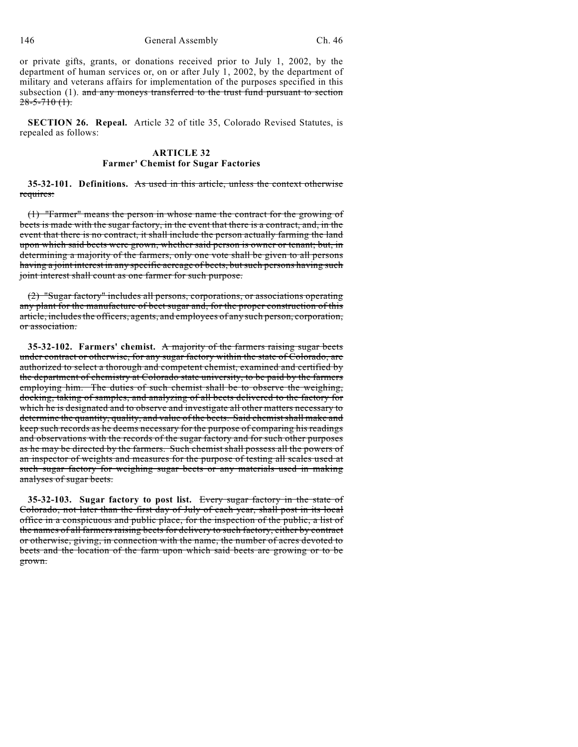146 General Assembly Ch. 46

or private gifts, grants, or donations received prior to July 1, 2002, by the department of human services or, on or after July 1, 2002, by the department of military and veterans affairs for implementation of the purposes specified in this subsection  $(1)$ . and any moneys transferred to the trust fund pursuant to section  $28 - 5 - 710$  (1).

**SECTION 26. Repeal.** Article 32 of title 35, Colorado Revised Statutes, is repealed as follows:

## **ARTICLE 32 Farmer' Chemist for Sugar Factories**

**35-32-101. Definitions.** As used in this article, unless the context otherwise requires:

(1) "Farmer" means the person in whose name the contract for the growing of beets is made with the sugar factory, in the event that there is a contract, and, in the event that there is no contract, it shall include the person actually farming the land upon which said beets were grown, whether said person is owner or tenant; but, in determining a majority of the farmers, only one vote shall be given to all persons having a joint interest in any specific acreage of beets, but such persons having such joint interest shall count as one farmer for such purpose.

(2) "Sugar factory" includes all persons, corporations, or associations operating any plant for the manufacture of beet sugar and, for the proper construction of this article, includes the officers, agents, and employees of any such person, corporation, or association.

**35-32-102. Farmers' chemist.** A majority of the farmers raising sugar beets under contract or otherwise, for any sugar factory within the state of Colorado, are authorized to select a thorough and competent chemist, examined and certified by the department of chemistry at Colorado state university, to be paid by the farmers employing him. The duties of such chemist shall be to observe the weighing, docking, taking of samples, and analyzing of all beets delivered to the factory for which he is designated and to observe and investigate all other matters necessary to determine the quantity, quality, and value of the beets. Said chemist shall make and keep such records as he deems necessary for the purpose of comparing his readings and observations with the records of the sugar factory and for such other purposes as he may be directed by the farmers. Such chemist shall possess all the powers of an inspector of weights and measures for the purpose of testing all scales used at such sugar factory for weighing sugar beets or any materials used in making analyses of sugar beets.

**35-32-103. Sugar factory to post list.** Every sugar factory in the state of Colorado, not later than the first day of July of each year, shall post in its local office in a conspicuous and public place, for the inspection of the public, a list of the names of all farmers raising beets for delivery to such factory, either by contract or otherwise, giving, in connection with the name, the number of acres devoted to beets and the location of the farm upon which said beets are growing or to be grown.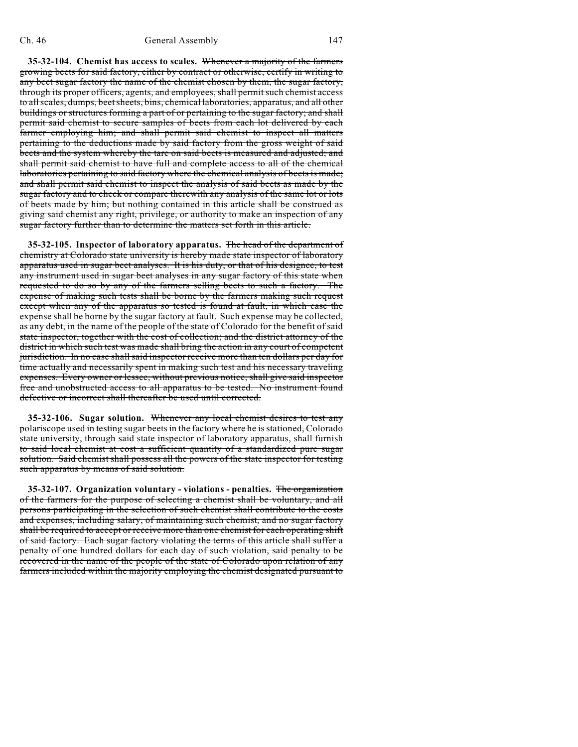**35-32-104. Chemist has access to scales.** Whenever a majority of the farmers growing beets for said factory, either by contract or otherwise, certify in writing to any beet sugar factory the name of the chemist chosen by them, the sugar factory, through its proper officers, agents, and employees, shall permit such chemist access to allscales, dumps, beetsheets, bins, chemical laboratories, apparatus, and all other buildings or structures forming a part of or pertaining to the sugar factory; and shall permit said chemist to secure samples of beets from each lot delivered by each farmer employing him; and shall permit said chemist to inspect all matters pertaining to the deductions made by said factory from the gross weight of said beets and the system whereby the tare on said beets is measured and adjusted; and shall permit said chemist to have full and complete access to all of the chemical laboratories pertaining to said factory where the chemical analysis of beets is made; and shall permit said chemist to inspect the analysis of said beets as made by the sugar factory and to check or compare therewith any analysis of the same lot or lots of beets made by him; but nothing contained in this article shall be construed as giving said chemist any right, privilege, or authority to make an inspection of any sugar factory further than to determine the matters set forth in this article.

**35-32-105. Inspector of laboratory apparatus.** The head of the department of chemistry at Colorado state university is hereby made state inspector of laboratory apparatus used in sugar beet analyses. It is his duty, or that of his designee, to test any instrument used in sugar beet analyses in any sugar factory of this state when requested to do so by any of the farmers selling beets to such a factory. The expense of making such tests shall be borne by the farmers making such request except when any of the apparatus so tested is found at fault, in which case the expense shall be borne by the sugar factory at fault. Such expense may be collected, as any debt, in the name of the people of the state of Colorado for the benefit of said state inspector, together with the cost of collection; and the district attorney of the district in which such test was made shall bring the action in any court of competent jurisdiction. In no case shall said inspector receive more than ten dollars per day for time actually and necessarily spent in making such test and his necessary traveling expenses. Every owner or lessee, without previous notice, shall give said inspector free and unobstructed access to all apparatus to be tested. No instrument found defective or incorrect shall thereafter be used until corrected.

**35-32-106. Sugar solution.** Whenever any local chemist desires to test any polariscope used in testing sugar beets in the factory where he is stationed, Colorado state university, through said state inspector of laboratory apparatus, shall furnish to said local chemist at cost a sufficient quantity of a standardized pure sugar solution. Said chemist shall possess all the powers of the state inspector for testing such apparatus by means of said solution.

**35-32-107. Organization voluntary - violations - penalties.** The organization of the farmers for the purpose of selecting a chemist shall be voluntary, and all persons participating in the selection of such chemist shall contribute to the costs and expenses, including salary, of maintaining such chemist, and no sugar factory shall be required to accept or receive more than one chemist for each operating shift of said factory. Each sugar factory violating the terms of this article shall suffer a penalty of one hundred dollars for each day of such violation, said penalty to be recovered in the name of the people of the state of Colorado upon relation of any farmers included within the majority employing the chemist designated pursuant to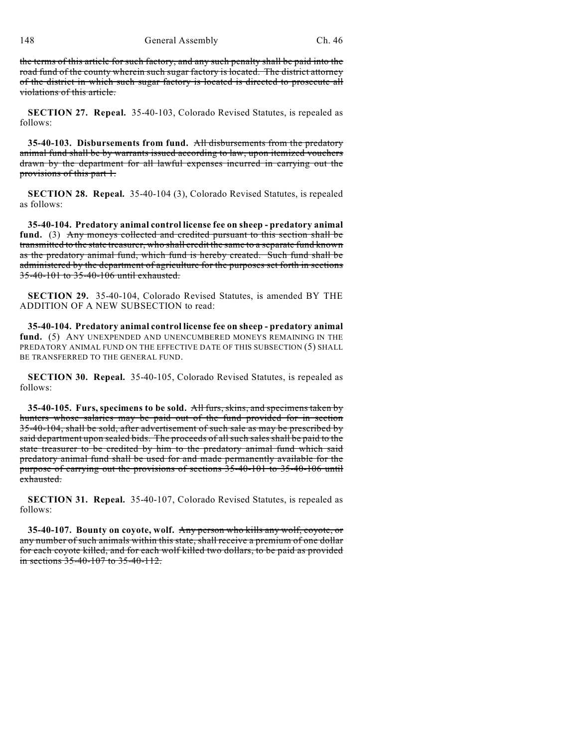the terms of this article for such factory, and any such penalty shall be paid into the road fund of the county wherein such sugar factory is located. The district attorney of the district in which such sugar factory is located is directed to prosecute all violations of this article.

**SECTION 27. Repeal.** 35-40-103, Colorado Revised Statutes, is repealed as follows:

**35-40-103. Disbursements from fund.** All disbursements from the predatory animal fund shall be by warrants issued according to law, upon itemized vouchers drawn by the department for all lawful expenses incurred in carrying out the provisions of this part 1.

**SECTION 28. Repeal.** 35-40-104 (3), Colorado Revised Statutes, is repealed as follows:

**35-40-104. Predatory animal control license fee on sheep - predatory animal fund.** (3) Any moneys collected and credited pursuant to this section shall be transmitted to the state treasurer, who shall credit the same to a separate fund known as the predatory animal fund, which fund is hereby created. Such fund shall be administered by the department of agriculture for the purposes set forth in sections 35-40-101 to 35-40-106 until exhausted.

**SECTION 29.** 35-40-104, Colorado Revised Statutes, is amended BY THE ADDITION OF A NEW SUBSECTION to read:

**35-40-104. Predatory animal control license fee on sheep - predatory animal** fund. (5) ANY UNEXPENDED AND UNENCUMBERED MONEYS REMAINING IN THE PREDATORY ANIMAL FUND ON THE EFFECTIVE DATE OF THIS SUBSECTION (5) SHALL BE TRANSFERRED TO THE GENERAL FUND.

**SECTION 30. Repeal.** 35-40-105, Colorado Revised Statutes, is repealed as follows:

**35-40-105. Furs, specimens to be sold.** All furs, skins, and specimens taken by hunters whose salaries may be paid out of the fund provided for in section 35-40-104, shall be sold, after advertisement of such sale as may be prescribed by said department upon sealed bids. The proceeds of all such sales shall be paid to the state treasurer to be credited by him to the predatory animal fund which said predatory animal fund shall be used for and made permanently available for the purpose of carrying out the provisions of sections 35-40-101 to 35-40-106 until exhausted.

**SECTION 31. Repeal.** 35-40-107, Colorado Revised Statutes, is repealed as follows:

**35-40-107. Bounty on coyote, wolf.** Any person who kills any wolf, coyote, or any number of such animals within this state, shall receive a premium of one dollar for each coyote killed, and for each wolf killed two dollars, to be paid as provided in sections 35-40-107 to 35-40-112.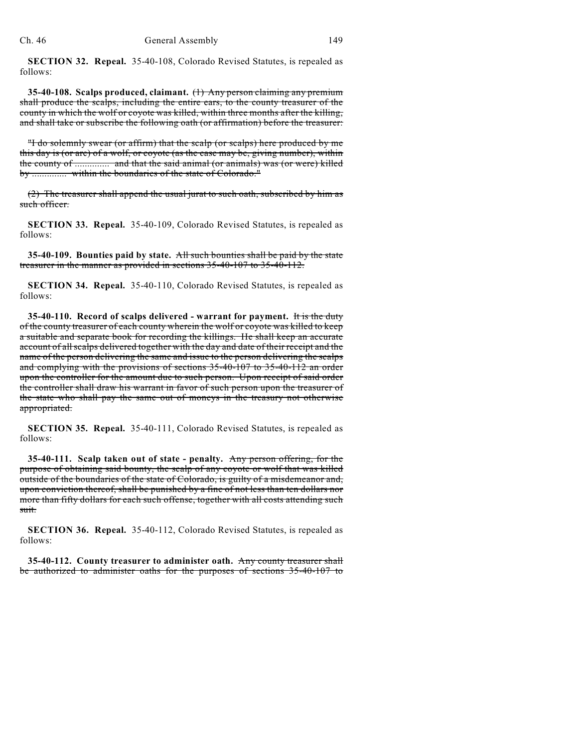**SECTION 32. Repeal.** 35-40-108, Colorado Revised Statutes, is repealed as follows:

**35-40-108. Scalps produced, claimant.** (1) Any person claiming any premium shall produce the scalps, including the entire ears, to the county treasurer of the county in which the wolf or coyote was killed, within three months after the killing, and shall take or subscribe the following oath (or affirmation) before the treasurer:

"I do solemnly swear (or affirm) that the scalp (or scalps) here produced by me this day is (or are) of a wolf, or coyote (as the case may be, giving number), within the county of .............. and that the said animal (or animals) was (or were) killed by .............. within the boundaries of the state of Colorado."

(2) The treasurer shall append the usual jurat to such oath, subscribed by him as such officer.

**SECTION 33. Repeal.** 35-40-109, Colorado Revised Statutes, is repealed as follows:

**35-40-109. Bounties paid by state.** All such bounties shall be paid by the state treasurer in the manner as provided in sections 35-40-107 to 35-40-112.

**SECTION 34. Repeal.** 35-40-110, Colorado Revised Statutes, is repealed as follows:

**35-40-110. Record of scalps delivered - warrant for payment.** It is the duty of the county treasurer of each county wherein the wolf or coyote was killed to keep a suitable and separate book for recording the killings. He shall keep an accurate account of all scalps delivered together with the day and date of their receipt and the name of the person delivering the same and issue to the person delivering the scalps and complying with the provisions of sections 35-40-107 to 35-40-112 an order upon the controller for the amount due to such person. Upon receipt of said order the controller shall draw his warrant in favor of such person upon the treasurer of the state who shall pay the same out of moneys in the treasury not otherwise appropriated.

**SECTION 35. Repeal.** 35-40-111, Colorado Revised Statutes, is repealed as follows:

**35-40-111. Scalp taken out of state - penalty.** Any person offering, for the purpose of obtaining said bounty, the scalp of any coyote or wolf that was killed outside of the boundaries of the state of Colorado, is guilty of a misdemeanor and, upon conviction thereof, shall be punished by a fine of not less than ten dollars nor more than fifty dollars for each such offense, together with all costs attending such suit.

**SECTION 36. Repeal.** 35-40-112, Colorado Revised Statutes, is repealed as follows:

**35-40-112. County treasurer to administer oath.** Any county treasurer shall be authorized to administer oaths for the purposes of sections 35-40-107 to